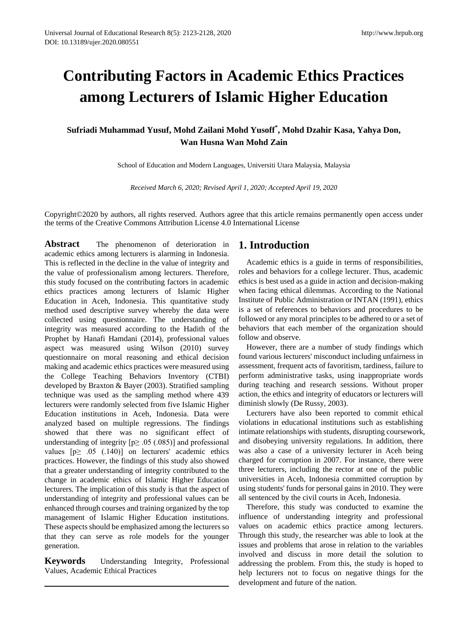# **Contributing Factors in Academic Ethics Practices among Lecturers of Islamic Higher Education**

# **Sufriadi Muhammad Yusuf, Mohd Zailani Mohd Yusoff\* , Mohd Dzahir Kasa, Yahya Don, Wan Husna Wan Mohd Zain**

School of Education and Modern Languages, Universiti Utara Malaysia, Malaysia

*Received March 6, 2020; Revised April 1, 2020; Accepted April 19, 2020*

Copyright©2020 by authors, all rights reserved. Authors agree that this article remains permanently open access under the terms of the Creative Commons Attribution License 4.0 International License

**Abstract** The phenomenon of deterioration in academic ethics among lecturers is alarming in Indonesia. This is reflected in the decline in the value of integrity and the value of professionalism among lecturers. Therefore, this study focused on the contributing factors in academic ethics practices among lecturers of Islamic Higher Education in Aceh, Indonesia. This quantitative study method used descriptive survey whereby the data were collected using questionnaire. The understanding of integrity was measured according to the Hadith of the Prophet by Hanafi Hamdani (2014), professional values aspect was measured using Wilson (2010) survey questionnaire on moral reasoning and ethical decision making and academic ethics practices were measured using the College Teaching Behaviors Inventory (CTBI) developed by Braxton & Bayer (2003). Stratified sampling technique was used as the sampling method where 439 lecturers were randomly selected from five Islamic Higher Education institutions in Aceh, Indonesia. Data were analyzed based on multiple regressions. The findings showed that there was no significant effect of understanding of integrity  $[p \ge 0.05]$  (.085)] and professional values  $[p \geq .05$  (.140)] on lecturers' academic ethics practices. However, the findings of this study also showed that a greater understanding of integrity contributed to the change in academic ethics of Islamic Higher Education lecturers. The implication of this study is that the aspect of understanding of integrity and professional values can be enhanced through courses and training organized by the top management of Islamic Higher Education institutions. These aspects should be emphasized among the lecturers so that they can serve as role models for the younger generation.

**Keywords** Understanding Integrity, Professional Values, Academic Ethical Practices

# **1. Introduction**

Academic ethics is a guide in terms of responsibilities, roles and behaviors for a college lecturer. Thus, academic ethics is best used as a guide in action and decision-making when facing ethical dilemmas. According to the National Institute of Public Administration or INTAN (1991), ethics is a set of references to behaviors and procedures to be followed or any moral principles to be adhered to or a set of behaviors that each member of the organization should follow and observe.

However, there are a number of study findings which found various lecturers' misconduct including unfairness in assessment, frequent acts of favoritism, tardiness, failure to perform administrative tasks, using inappropriate words during teaching and research sessions. Without proper action, the ethics and integrity of educators or lecturers will diminish slowly (De Russy, 2003).

Lecturers have also been reported to commit ethical violations in educational institutions such as establishing intimate relationships with students, disrupting coursework, and disobeying university regulations. In addition, there was also a case of a university lecturer in Aceh being charged for corruption in 2007. For instance, there were three lecturers, including the rector at one of the public universities in Aceh, Indonesia committed corruption by using students' funds for personal gains in 2010. They were all sentenced by the civil courts in Aceh, Indonesia.

Therefore, this study was conducted to examine the influence of understanding integrity and professional values on academic ethics practice among lecturers. Through this study, the researcher was able to look at the issues and problems that arose in relation to the variables involved and discuss in more detail the solution to addressing the problem. From this, the study is hoped to help lecturers not to focus on negative things for the development and future of the nation.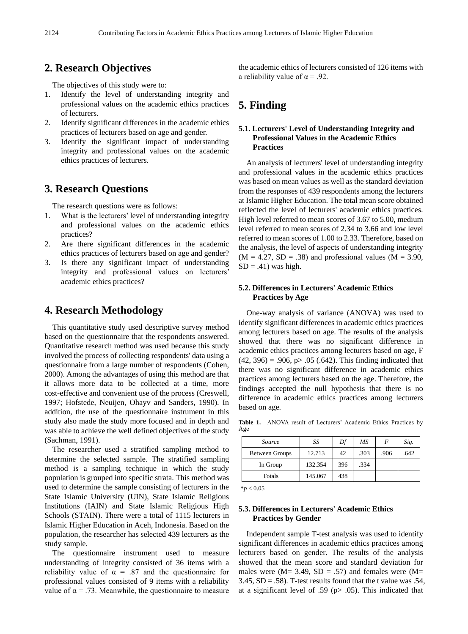# **2. Research Objectives**

The objectives of this study were to:

- 1. Identify the level of understanding integrity and professional values on the academic ethics practices of lecturers.
- 2. Identify significant differences in the academic ethics practices of lecturers based on age and gender.
- 3. Identify the significant impact of understanding integrity and professional values on the academic ethics practices of lecturers.

### **3. Research Questions**

The research questions were as follows:

- 1. What is the lecturers' level of understanding integrity and professional values on the academic ethics practices?
- 2. Are there significant differences in the academic ethics practices of lecturers based on age and gender?
- 3. Is there any significant impact of understanding integrity and professional values on lecturers' academic ethics practices?

## **4. Research Methodology**

This quantitative study used descriptive survey method based on the questionnaire that the respondents answered. Quantitative research method was used because this study involved the process of collecting respondents' data using a questionnaire from a large number of respondents (Cohen, 2000). Among the advantages of using this method are that it allows more data to be collected at a time, more cost-effective and convenient use of the process (Creswell, 1997; Hofstede, Neuijen, Ohayv and Sanders, 1990). In addition, the use of the questionnaire instrument in this study also made the study more focused and in depth and was able to achieve the well defined objectives of the study (Sachman, 1991).

The researcher used a stratified sampling method to determine the selected sample. The stratified sampling method is a sampling technique in which the study population is grouped into specific strata. This method was used to determine the sample consisting of lecturers in the State Islamic University (UIN), State Islamic Religious Institutions (IAIN) and State Islamic Religious High Schools (STAIN). There were a total of 1115 lecturers in Islamic Higher Education in Aceh, Indonesia. Based on the population, the researcher has selected 439 lecturers as the study sample.

The questionnaire instrument used to measure understanding of integrity consisted of 36 items with a reliability value of  $\alpha = .87$  and the questionnaire for professional values consisted of 9 items with a reliability value of  $\alpha$  = .73. Meanwhile, the questionnaire to measure the academic ethics of lecturers consisted of 126 items with a reliability value of  $\alpha = .92$ .

# **5. Finding**

### **5.1. Lecturers' Level of Understanding Integrity and Professional Values in the Academic Ethics Practices**

An analysis of lecturers' level of understanding integrity and professional values in the academic ethics practices was based on mean values as well as the standard deviation from the responses of 439 respondents among the lecturers at Islamic Higher Education. The total mean score obtained reflected the level of lecturers' academic ethics practices. High level referred to mean scores of 3.67 to 5.00, medium level referred to mean scores of 2.34 to 3.66 and low level referred to mean scores of 1.00 to 2.33. Therefore, based on the analysis, the level of aspects of understanding integrity  $(M = 4.27, SD = .38)$  and professional values  $(M = 3.90,$  $SD = .41$ ) was high.

### **5.2. Differences in Lecturers' Academic Ethics Practices by Age**

One-way analysis of variance (ANOVA) was used to identify significant differences in academic ethics practices among lecturers based on age. The results of the analysis showed that there was no significant difference in academic ethics practices among lecturers based on age, F  $(42, 396) = .906$ , p $> .05$  (.642). This finding indicated that there was no significant difference in academic ethics practices among lecturers based on the age. Therefore, the findings accepted the null hypothesis that there is no difference in academic ethics practices among lecturers based on age.

**Table 1.** ANOVA result of Lecturers' Academic Ethics Practices by Age

| Source                | SS      | Df  | МS   | F    | Sig. |
|-----------------------|---------|-----|------|------|------|
| <b>Between Groups</b> | 12.713  | 42  | .303 | .906 | .642 |
| In Group              | 132.354 | 396 | .334 |      |      |
| Totals                | 145.067 | 438 |      |      |      |

 $*$ *p*  $< 0.05$ 

### **5.3. Differences in Lecturers' Academic Ethics Practices by Gender**

Independent sample T-test analysis was used to identify significant differences in academic ethics practices among lecturers based on gender. The results of the analysis showed that the mean score and standard deviation for males were ( $M = 3.49$ ,  $SD = .57$ ) and females were ( $M =$ 3.45,  $SD = .58$ ). T-test results found that the t value was  $.54$ , at a significant level of .59 ( $p$  $>$  .05). This indicated that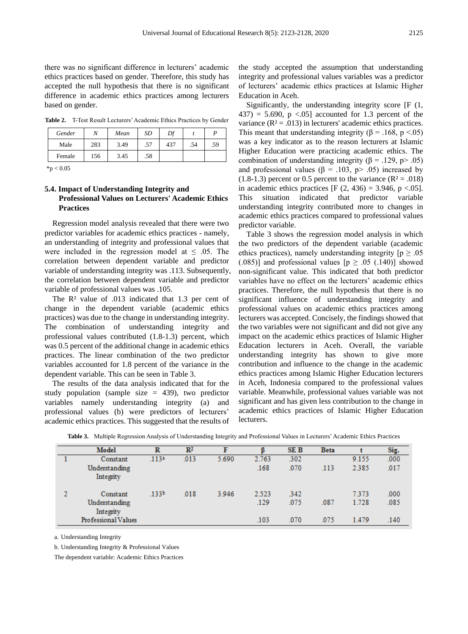there was no significant difference in lecturers' academic ethics practices based on gender. Therefore, this study has accepted the null hypothesis that there is no significant difference in academic ethics practices among lecturers based on gender.

**Table 2.** T-Test Result Lecturers' Academic Ethics Practices by Gender

| Gender |     | Mean | SD  | Df  |     |     |
|--------|-----|------|-----|-----|-----|-----|
| Male   | 283 | 3.49 | .57 | 437 | .54 | .59 |
| Female | 156 | 3.45 | .58 |     |     |     |

 $*_{p}$  < 0.05

### **5.4. Impact of Understanding Integrity and Professional Values on Lecturers' Academic Ethics Practices**

Regression model analysis revealed that there were two predictor variables for academic ethics practices - namely, an understanding of integrity and professional values that were included in the regression model at  $\leq$  0.05. The correlation between dependent variable and predictor variable of understanding integrity was .113. Subsequently, the correlation between dependent variable and predictor variable of professional values was .105.

The R² value of .013 indicated that 1.3 per cent of change in the dependent variable (academic ethics practices) was due to the change in understanding integrity. The combination of understanding integrity and professional values contributed (1.8-1.3) percent, which was 0.5 percent of the additional change in academic ethics practices. The linear combination of the two predictor variables accounted for 1.8 percent of the variance in the dependent variable. This can be seen in Table 3.

The results of the data analysis indicated that for the study population (sample size = 439), two predictor variables namely understanding integrity (a) and professional values (b) were predictors of lecturers' academic ethics practices. This suggested that the results of

the study accepted the assumption that understanding integrity and professional values variables was a predictor of lecturers' academic ethics practices at Islamic Higher Education in Aceh.

Significantly, the understanding integrity score [F (1,  $437$ ) = 5.690, p <.05] accounted for 1.3 percent of the variance ( $\mathbb{R}^2 = .013$ ) in lecturers' academic ethics practices. This meant that understanding integrity ( $\beta$  = .168, p <.05) was a key indicator as to the reason lecturers at Islamic Higher Education were practicing academic ethics. The combination of understanding integrity ( $\beta$  = .129, p > .05) and professional values ( $\beta$  = .103, p> .05) increased by  $(1.8-1.3)$  percent or 0.5 percent to the variance  $(R<sup>2</sup>=.018)$ in academic ethics practices  $[F (2, 436) = 3.946, p < .05]$ . This situation indicated that predictor variable understanding integrity contributed more to changes in academic ethics practices compared to professional values predictor variable.

Table 3 shows the regression model analysis in which the two predictors of the dependent variable (academic ethics practices), namely understanding integrity  $[p \ge 0.05]$ (.085)] and professional values  $[p \ge .05$  (.140)] showed non-significant value. This indicated that both predictor variables have no effect on the lecturers' academic ethics practices. Therefore, the null hypothesis that there is no significant influence of understanding integrity and professional values on academic ethics practices among lecturers was accepted. Concisely, the findings showed that the two variables were not significant and did not give any impact on the academic ethics practices of Islamic Higher Education lecturers in Aceh. Overall, the variable understanding integrity has shown to give more contribution and influence to the change in the academic ethics practices among Islamic Higher Education lecturers in Aceh, Indonesia compared to the professional values variable. Meanwhile, professional values variable was not significant and has given less contribution to the change in academic ethics practices of Islamic Higher Education lecturers.

| Model                                  | R                 | $\mathbb{R}^2$ | F     |               | <b>SEB</b>   | <b>Beta</b> |                | Sig.         |
|----------------------------------------|-------------------|----------------|-------|---------------|--------------|-------------|----------------|--------------|
| Constant                               | .113a             | .013           | 5.690 | 2.763         | .302         |             | 9.155          | .000         |
| Understanding<br>Integrity             |                   |                |       | .168          | .070         | .113        | 2.385          | .017         |
| Constant<br>Understanding<br>Integrity | .133 <sup>b</sup> | .018           | 3.946 | 2.523<br>.129 | .342<br>.075 | .087        | 7.373<br>1.728 | .000<br>.085 |
| Professional Values                    |                   |                |       | .103          | .070         | .075        | 1.479          | .140         |

**Table 3.** Multiple Regression Analysis of Understanding Integrity and Professional Values in Lecturers' Academic Ethics Practices

a. Understanding Integrity

b. Understanding Integrity & Professional Values

The dependent variable: Academic Ethics Practices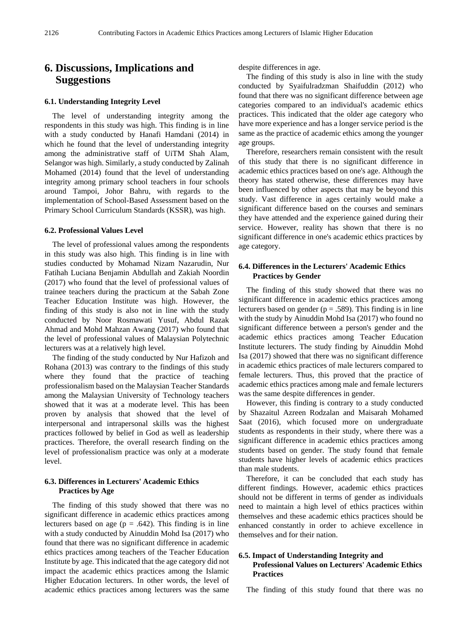# **6. Discussions, Implications and Suggestions**

#### **6.1. Understanding Integrity Level**

The level of understanding integrity among the respondents in this study was high. This finding is in line with a study conducted by Hanafi Hamdani (2014) in which he found that the level of understanding integrity among the administrative staff of UiTM Shah Alam, Selangor was high. Similarly, a study conducted by Zalinah Mohamed (2014) found that the level of understanding integrity among primary school teachers in four schools around Tampoi, Johor Bahru, with regards to the implementation of School-Based Assessment based on the Primary School Curriculum Standards (KSSR), was high.

#### **6.2. Professional Values Level**

The level of professional values among the respondents in this study was also high. This finding is in line with studies conducted by Mohamad Nizam Nazarudin, Nur Fatihah Luciana Benjamin Abdullah and Zakiah Noordin (2017) who found that the level of professional values of trainee teachers during the practicum at the Sabah Zone Teacher Education Institute was high. However, the finding of this study is also not in line with the study conducted by Noor Rosmawati Yusuf, Abdul Razak Ahmad and Mohd Mahzan Awang (2017) who found that the level of professional values of Malaysian Polytechnic lecturers was at a relatively high level.

The finding of the study conducted by Nur Hafizoh and Rohana (2013) was contrary to the findings of this study where they found that the practice of teaching professionalism based on the Malaysian Teacher Standards among the Malaysian University of Technology teachers showed that it was at a moderate level. This has been proven by analysis that showed that the level of interpersonal and intrapersonal skills was the highest practices followed by belief in God as well as leadership practices. Therefore, the overall research finding on the level of professionalism practice was only at a moderate level.

### **6.3. Differences in Lecturers' Academic Ethics Practices by Age**

The finding of this study showed that there was no significant difference in academic ethics practices among lecturers based on age ( $p = .642$ ). This finding is in line with a study conducted by Ainuddin Mohd Isa (2017) who found that there was no significant difference in academic ethics practices among teachers of the Teacher Education Institute by age. This indicated that the age category did not impact the academic ethics practices among the Islamic Higher Education lecturers. In other words, the level of academic ethics practices among lecturers was the same

despite differences in age.

The finding of this study is also in line with the study conducted by Syaifulradzman Shaifuddin (2012) who found that there was no significant difference between age categories compared to an individual's academic ethics practices. This indicated that the older age category who have more experience and has a longer service period is the same as the practice of academic ethics among the younger age groups.

Therefore, researchers remain consistent with the result of this study that there is no significant difference in academic ethics practices based on one's age. Although the theory has stated otherwise, these differences may have been influenced by other aspects that may be beyond this study. Vast difference in ages certainly would make a significant difference based on the courses and seminars they have attended and the experience gained during their service. However, reality has shown that there is no significant difference in one's academic ethics practices by age category.

### **6.4. Differences in the Lecturers' Academic Ethics Practices by Gender**

The finding of this study showed that there was no significant difference in academic ethics practices among lecturers based on gender ( $p = .589$ ). This finding is in line with the study by Ainuddin Mohd Isa (2017) who found no significant difference between a person's gender and the academic ethics practices among Teacher Education Institute lecturers. The study finding by Ainuddin Mohd Isa (2017) showed that there was no significant difference in academic ethics practices of male lecturers compared to female lecturers. Thus, this proved that the practice of academic ethics practices among male and female lecturers was the same despite differences in gender.

However, this finding is contrary to a study conducted by Shazaitul Azreen Rodzalan and Maisarah Mohamed Saat (2016), which focused more on undergraduate students as respondents in their study, where there was a significant difference in academic ethics practices among students based on gender. The study found that female students have higher levels of academic ethics practices than male students.

Therefore, it can be concluded that each study has different findings. However, academic ethics practices should not be different in terms of gender as individuals need to maintain a high level of ethics practices within themselves and these academic ethics practices should be enhanced constantly in order to achieve excellence in themselves and for their nation.

### **6.5. Impact of Understanding Integrity and Professional Values on Lecturers' Academic Ethics Practices**

The finding of this study found that there was no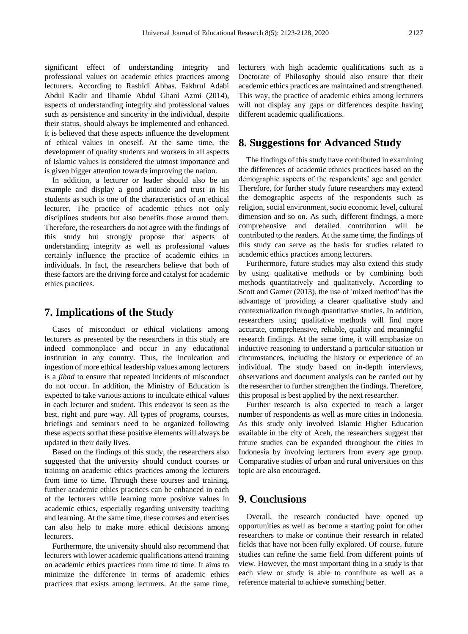significant effect of understanding integrity and professional values on academic ethics practices among lecturers. According to Rashidi Abbas, Fakhrul Adabi Abdul Kadir and Ilhamie Abdul Ghani Azmi (2014), aspects of understanding integrity and professional values such as persistence and sincerity in the individual, despite their status, should always be implemented and enhanced. It is believed that these aspects influence the development of ethical values in oneself. At the same time, the development of quality students and workers in all aspects of Islamic values is considered the utmost importance and is given bigger attention towards improving the nation.

In addition, a lecturer or leader should also be an example and display a good attitude and trust in his students as such is one of the characteristics of an ethical lecturer. The practice of academic ethics not only disciplines students but also benefits those around them. Therefore, the researchers do not agree with the findings of this study but strongly propose that aspects of understanding integrity as well as professional values certainly influence the practice of academic ethics in individuals. In fact, the researchers believe that both of these factors are the driving force and catalyst for academic ethics practices.

### **7. Implications of the Study**

Cases of misconduct or ethical violations among lecturers as presented by the researchers in this study are indeed commonplace and occur in any educational institution in any country. Thus, the inculcation and ingestion of more ethical leadership values among lecturers is a *jihad* to ensure that repeated incidents of misconduct do not occur. In addition, the Ministry of Education is expected to take various actions to inculcate ethical values in each lecturer and student. This endeavor is seen as the best, right and pure way. All types of programs, courses, briefings and seminars need to be organized following these aspects so that these positive elements will always be updated in their daily lives.

Based on the findings of this study, the researchers also suggested that the university should conduct courses or training on academic ethics practices among the lecturers from time to time. Through these courses and training, further academic ethics practices can be enhanced in each of the lecturers while learning more positive values in academic ethics, especially regarding university teaching and learning. At the same time, these courses and exercises can also help to make more ethical decisions among lecturers.

Furthermore, the university should also recommend that lecturers with lower academic qualifications attend training on academic ethics practices from time to time. It aims to minimize the difference in terms of academic ethics practices that exists among lecturers. At the same time,

lecturers with high academic qualifications such as a Doctorate of Philosophy should also ensure that their academic ethics practices are maintained and strengthened. This way, the practice of academic ethics among lecturers will not display any gaps or differences despite having different academic qualifications.

### **8. Suggestions for Advanced Study**

The findings of this study have contributed in examining the differences of academic ethnics practices based on the demographic aspects of the respondents' age and gender. Therefore, for further study future researchers may extend the demographic aspects of the respondents such as religion, social environment, socio economic level, cultural dimension and so on. As such, different findings, a more comprehensive and detailed contribution will be contributed to the readers. At the same time, the findings of this study can serve as the basis for studies related to academic ethics practices among lecturers.

Furthermore, future studies may also extend this study by using qualitative methods or by combining both methods quantitatively and qualitatively. According to Scott and Garner (2013), the use of 'mixed method' has the advantage of providing a clearer qualitative study and contextualization through quantitative studies. In addition, researchers using qualitative methods will find more accurate, comprehensive, reliable, quality and meaningful research findings. At the same time, it will emphasize on inductive reasoning to understand a particular situation or circumstances, including the history or experience of an individual. The study based on in-depth interviews, observations and document analysis can be carried out by the researcher to further strengthen the findings. Therefore, this proposal is best applied by the next researcher.

Further research is also expected to reach a larger number of respondents as well as more cities in Indonesia. As this study only involved Islamic Higher Education available in the city of Aceh, the researchers suggest that future studies can be expanded throughout the cities in Indonesia by involving lecturers from every age group. Comparative studies of urban and rural universities on this topic are also encouraged.

### **9. Conclusions**

Overall, the research conducted have opened up opportunities as well as become a starting point for other researchers to make or continue their research in related fields that have not been fully explored. Of course, future studies can refine the same field from different points of view. However, the most important thing in a study is that each view or study is able to contribute as well as a reference material to achieve something better.